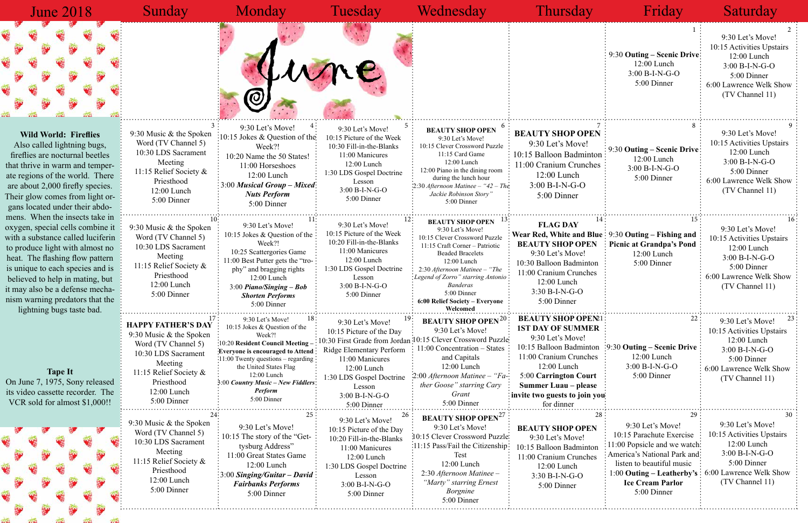## June 2018

9:30 Let's Move! 10:15 Picture of the Week 10:30 Fill-in-the-Blanks 11:00 Manicures 12:00 Lunch 1:30 LDS Gospel Doctrine Lesson 3:00 B-I-N-G-O 5:00 Dinner

**BEAUTY SHOP OPEN** 9:30 Let's Move! 10:15 Clever Crossword Puzzle

11:15 Card Game 12:00 Lunch 12:00 Piano in the dining room during the lunch hour 2:30 *Afternoon Matinee – "42 – The Jackie Robinson Story"* 5:00 Dinner

9:30 Let's Move!

12:00 Lunch 3:00 B-I-N-G-O 5:00 Dinner

9:30 Music & the Spoken Word (TV Channel 5) 10:30 LDS Sacrament Meeting 11:15 Relief Society & Priesthood 12:00 Lunch 5:00 Dinner

9:30 Let's Move! 10:15 Jokes & Question of the Week?! 10:25 Scattergories Game 11:00 Best Putter gets the "trophy" and bragging rights 12:00 Lunch 3:00 *Piano/Singing – Bob Shorten Performs* 5:00 Dinner

9:30 Let's Move! 10:15 Picture of the Week 10:20 Fill-in-the-Blanks 11:00 Manicures 12:00 Lunch 1:30 LDS Gospel Doctrine Lesson 3:00 B-I-N-G-O 5:00 Dinner

**ATHED'S DAV**: 9:30 Let's Move!  $18$ : 9:30 Let's Move!  $19$ : **BEAUTY SHOP OPEN**<sup>20</sup>: **BEAUTY SHOP OPEN**<sup>21</sup>: 22: 9:30 Let's Move! <sup>23</sup> 9:30 Let's Move! 10:15 Jokes & Question of the Week?! 10:20 **Resident Council Meeting – Everyone is encouraged to Attend**  $\frac{1}{2}11:00$  Twenty questions – regarding the United States Flag 12:00 Lunch 3:00 *Country Music – New Fiddlers Perform* 5:00 Dinner

9:30 Let's Move! 10:15 Clever Crossword Puzzle 11:15 Craft Corner – Patriotic Beaded Bracelets 12:00 Lunch 2:30 *Afternoon Matinee – "The Legend of Zorro" starring Antonio Banderas* 5:00 Dinner **6:00 Relief Society – Everyone Welcomed**

 **BEAUTY SHOP OPEN Wear Red, White and Blue** 9:30 **Outing – Fishing and BEAUTY SHOP OPEN** 9:30 Let's Move! 10:30 Balloon Badminton 11:00 Cranium Crunches

9:30 Let's Move! 10:15 Jokes & Question of the Week?! 10:20 Name the 50 States! 11:00 Horseshoes 12:00 Lunch June

 **FLAG DAY**



### Sunday Monday Tuesday Wednesday Thursday Friday Saturday 1 2 3 4 5 6 7 8 9 10:  $11$   $22$  **BEAUTY SHOP OPEN**  $13$  **14**  $14$   $15$   $15$   $15$ 9:30 Let's Move! 10:15 Activities Upstairs 12:00 Lunch 3:00 B-I-N-G-O 5:00 Dinner 6:00 Lawrence Welk Show (TV Channel 11) **BEAUTY SHOP OPEN** 10:15 Balloon Badminton 11:00 Cranium Crunches 9:30 **Outing – Scenic Drive** 12:00 Lunch 3:00 B-I-N-G-O 5:00 Dinner 9:30 Let's Move! 10:15 Activities Upstairs 12:00 Lunch 3:00 B-I-N-G-O 5:00 Dinner 6:00 Lawrence Welk Show (TV Channel 11) 9:30 **Outing – Scenic Drive** 12:00 Lunch 3:00 B-I-N-G-O 5:00 Dinner

**BEAUTY SHOP OPEN?1 1ST DAY OF SUMMER** 9:30 Let's Move!

12:00 Lunch 3:30 B-I-N-G-O 5:00 Dinner

9:30 Let's Move! 10:15 Activities Upstairs 12:00 Lunch 3:00 B-I-N-G-O 5:00 Dinner 6:00 Lawrence Welk Show (TV Channel 11)

**Picnic at Grandpa's Pond** 12:00 Lunch 5:00 Dinner

**HAPPY FATHER'S DAY** 9:30 Music & the Spoken Word (TV Channel 5) 10:30 LDS Sacrament Meeting 11:15 Relief Society & Priesthood 12:00 Lunch 5:00 Dinner

9:30 Music & the Spoken Word (TV Channel 5) 10:30 LDS Sacrament Meeting 11:15 Relief Society & Priesthood 12:00 Lunch 5:00 Dinner

 $24:$   $25:$   $26:$   $27:$   $28:$   $29:$   $29:$   $29:$   $29:$   $29:$ for dinner **BEAUTY SHOP OPEN** 9:30 Let's Move! 10:15 Balloon Badminton 11:00 Cranium Crunches 12:00 Lunch 3:30 B-I-N-G-O 5:00 Dinner 9:30 Let's Move! 10:15 Parachute Exercise 11:00 Popsicle and we watch America's National Park and listen to beautiful music 1:00 **Outing – Leatherby's**  6:00 Lawrence Welk Show **Ice Cream Parlor** 5:00 Dinner 9:30 Let's Move! 10:15 Activities Upstairs 12:00 Lunch 3:00 B-I-N-G-O 5:00 Dinner (TV Channel 11)

9:30 Let's Move! 10:15 The story of the "Gettysburg Address" 11:00 Great States Game 12:00 Lunch 3:00 *Singing/Guitar – David Fairbanks Performs* 5:00 Dinner

9:30 Let's Move!

11:00 Concentration – States and Capitals 12:00 Lunch 2:00 *Afternoon Matinee – "Father Goose" starring Cary Grant* 5:00 Dinner

10:15 Clever Crossword Puzzle 10:30 First Grade from Jordan

12:00 Lunch 3:00 B-I-N-G-O 5:00 Dinner

9:30 Let's Move! 10:15 Picture of the Day

Ridge Elementary Perform 11:00 Manicures 12:00 Lunch 1:30 LDS Gospel Doctrine Lesson 3:00 B-I-N-G-O 5:00 Dinner

| 9:30 Music & the Spoken |
|-------------------------|
| Word (TV Channel 5)     |
| 10:30 LDS Sacrament     |
| Meeting                 |
| 11:15 Relief Society &  |
| Priesthood              |
| 12:00 Lunch             |
| 5:00 Dinner             |
|                         |

9:30 **Outing – Scenic Drive** 10:15 Balloon Badminton 11:00 Cranium Crunches 12:00 Lunch 5:00 **Carrington Court Summer Luau – please invite two guests to join you**

3:00 *Musical Group – Mixed Nuts Perform* 5:00 Dinner

> 9:30 Let's Move! 10:15 Activities Upstairs 12:00 Lunch 3:00 B-I-N-G-O 5:00 Dinner 6:00 Lawrence Welk Show (TV Channel 11)

**BEAUTY SHOP OPEN** 9:30 Let's Move! 10:15 Clever Crossword Puzzle 11:15 Pass/Fail the Citizenship Test 12:00 Lunch 2:30 *Afternoon Matinee – "Marty" starring Ernest Borgnine* 5:00 Dinner

9:30 Let's Move! 10:15 Picture of the Day 10:20 Fill-in-the-Blanks 11:00 Manicures 12:00 Lunch 1:30 LDS Gospel Doctrine Lesson 3:00 B-I-N-G-O 5:00 Dinner

### **Wild World: Fireflies**

Also called lightning bugs, fireflies are nocturnal beetles that thrive in warm and temperate regions of the world. There are about 2,000 firefly species. Their glow comes from light organs located under their abdomens. When the insects take in oxygen, special cells combine it with a substance called luciferin to produce light with almost no heat. The flashing flow pattern is unique to each species and is believed to help in mating, but it may also be a defense mechanism warning predators that the lightning bugs taste bad.

**Tape It** On June 7, 1975, Sony released its video cassette recorder. The VCR sold for almost \$1,000!!